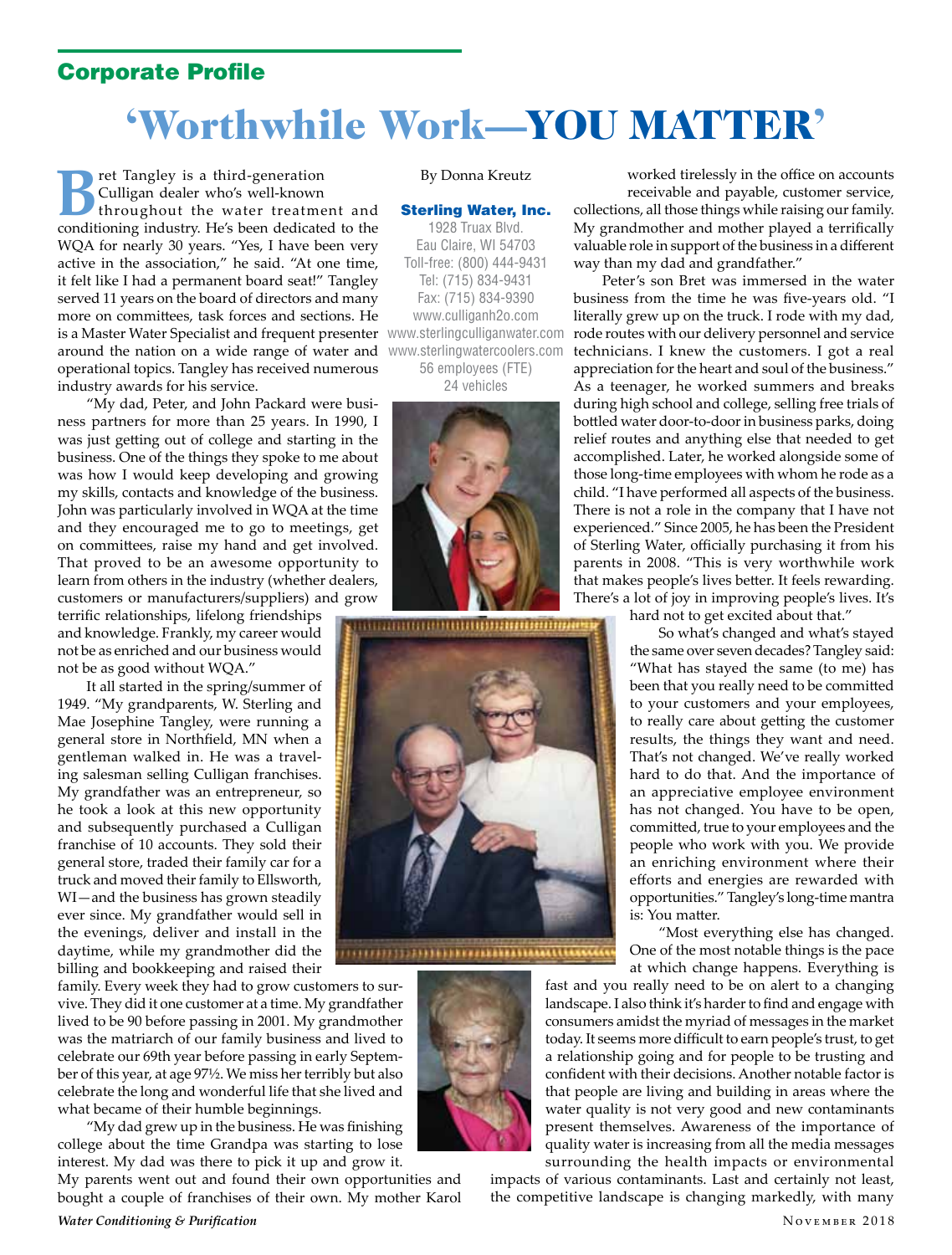## Corporate Profile

## 'Worthwhile Work—YOU MATTER'

ret Tangley is a third-generation Culligan dealer who's well-known throughout the water treatment and conditioning industry. He's been dedicated to the WQA for nearly 30 years. "Yes, I have been very active in the association," he said. "At one time, it felt like I had a permanent board seat!" Tangley served 11 years on the board of directors and many more on committees, task forces and sections. He is a Master Water Specialist and frequent presenter www.sterlingculliganwater.com around the nation on a wide range of water and operational topics. Tangley has received numerous industry awards for his service.

"My dad, Peter, and John Packard were business partners for more than 25 years. In 1990, I was just getting out of college and starting in the business. One of the things they spoke to me about was how I would keep developing and growing my skills, contacts and knowledge of the business. John was particularly involved in WQA at the time and they encouraged me to go to meetings, get on committees, raise my hand and get involved. That proved to be an awesome opportunity to learn from others in the industry (whether dealers, customers or manufacturers/suppliers) and grow

terrific relationships, lifelong friendships and knowledge. Frankly, my career would not be as enriched and our business would not be as good without WQA."

It all started in the spring/summer of 1949. "My grandparents, W. Sterling and Mae Josephine Tangley, were running a general store in Northfield, MN when a gentleman walked in. He was a traveling salesman selling Culligan franchises. My grandfather was an entrepreneur, so he took a look at this new opportunity and subsequently purchased a Culligan franchise of 10 accounts. They sold their general store, traded their family car for a truck and moved their family to Ellsworth, WI—and the business has grown steadily ever since. My grandfather would sell in the evenings, deliver and install in the daytime, while my grandmother did the billing and bookkeeping and raised their

family. Every week they had to grow customers to survive. They did it one customer at a time. My grandfather lived to be 90 before passing in 2001. My grandmother was the matriarch of our family business and lived to celebrate our 69th year before passing in early September of this year, at age 97½. We miss her terribly but also celebrate the long and wonderful life that she lived and what became of their humble beginnings.

"My dad grew up in the business. He was finishing college about the time Grandpa was starting to lose interest. My dad was there to pick it up and grow it.

My parents went out and found their own opportunities and bought a couple of franchises of their own. My mother Karol

## By Donna Kreutz

## Sterling Water, Inc.

1928 Truax Blvd. Eau Claire, WI 54703 Toll-free: (800) 444-9431 Tel: (715) 834-9431 Fax: (715) 834-9390 www.culliganh2o.com www.sterlingwatercoolers.com 56 employees (FTE)

24 vehicles







worked tirelessly in the office on accounts receivable and payable, customer service, collections, all those things while raising our family. My grandmother and mother played a terrifically valuable role in support of the business in a different

way than my dad and grandfather." Peter's son Bret was immersed in the water business from the time he was five-years old. "I literally grew up on the truck. I rode with my dad, rode routes with our delivery personnel and service technicians. I knew the customers. I got a real appreciation for the heart and soul of the business." As a teenager, he worked summers and breaks during high school and college, selling free trials of bottled water door-to-door in business parks, doing relief routes and anything else that needed to get accomplished. Later, he worked alongside some of those long-time employees with whom he rode as a child. "I have performed all aspects of the business. There is not a role in the company that I have not experienced." Since 2005, he has been the President of Sterling Water, officially purchasing it from his parents in 2008. "This is very worthwhile work that makes people's lives better. It feels rewarding. There's a lot of joy in improving people's lives. It's

hard not to get excited about that."

So what's changed and what's stayed the same over seven decades? Tangley said: "What has stayed the same (to me) has been that you really need to be committed to your customers and your employees, to really care about getting the customer results, the things they want and need. That's not changed. We've really worked hard to do that. And the importance of an appreciative employee environment has not changed. You have to be open, committed, true to your employees and the people who work with you. We provide an enriching environment where their efforts and energies are rewarded with opportunities." Tangley's long-time mantra is: You matter.

"Most everything else has changed. One of the most notable things is the pace at which change happens. Everything is

fast and you really need to be on alert to a changing landscape. I also think it's harder to find and engage with consumers amidst the myriad of messages in the market today. It seems more difficult to earn people's trust, to get a relationship going and for people to be trusting and confident with their decisions. Another notable factor is that people are living and building in areas where the water quality is not very good and new contaminants present themselves. Awareness of the importance of quality water is increasing from all the media messages surrounding the health impacts or environmental

impacts of various contaminants. Last and certainly not least, the competitive landscape is changing markedly, with many